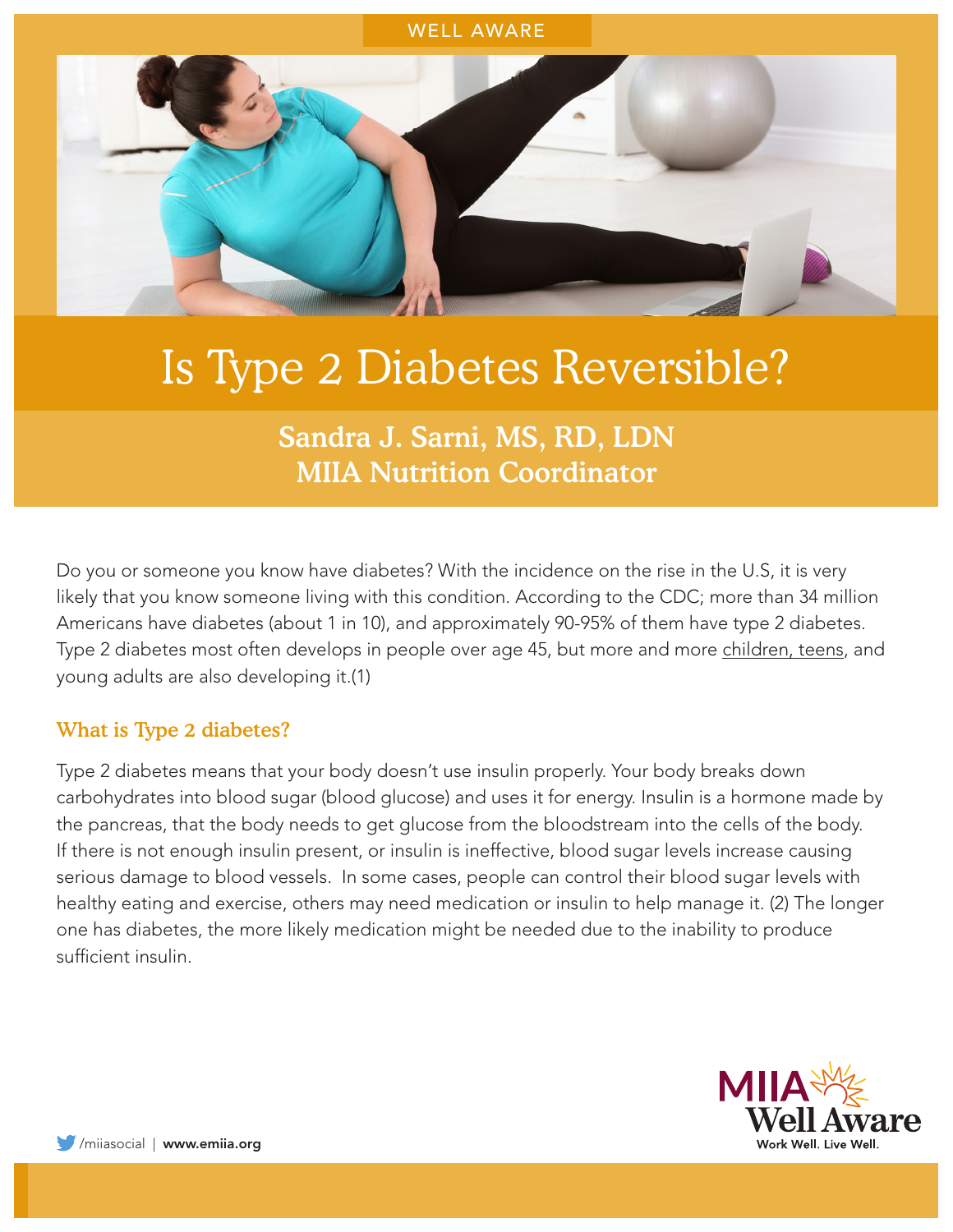#### WELL AWARE



# Is Type 2 Diabetes Reversible?

# Sandra J. Sarni, MS, RD, LDN MIIA Nutrition Coordinator

Do you or someone you know have diabetes? With the incidence on the rise in the U.S, it is very likely that you know someone living with this condition. According to the CDC; more than 34 million Americans have diabetes (about 1 in 10), and approximately 90-95% of them have type 2 diabetes. Type 2 diabetes most often develops in people over age 45, but more and more [children, teens](https://www.cdc.gov/diabetes/prevent-type-2/type-2-kids.html), and young adults are also developing it.(1)

#### What is Type 2 diabetes?

Type 2 diabetes means that your body doesn't use insulin properly. Your body breaks down carbohydrates into blood sugar (blood glucose) and uses it for energy. Insulin is a hormone made by the pancreas, that the body needs to get glucose from the bloodstream into the cells of the body. If there is not enough insulin present, or insulin is ineffective, blood sugar levels increase causing serious damage to blood vessels. In some cases, people can control their blood sugar levels with healthy eating and exercise, others may need medication or insulin to help manage it. (2) The longer one has diabetes, the more likely medication might be needed due to the inability to produce sufficient insulin.

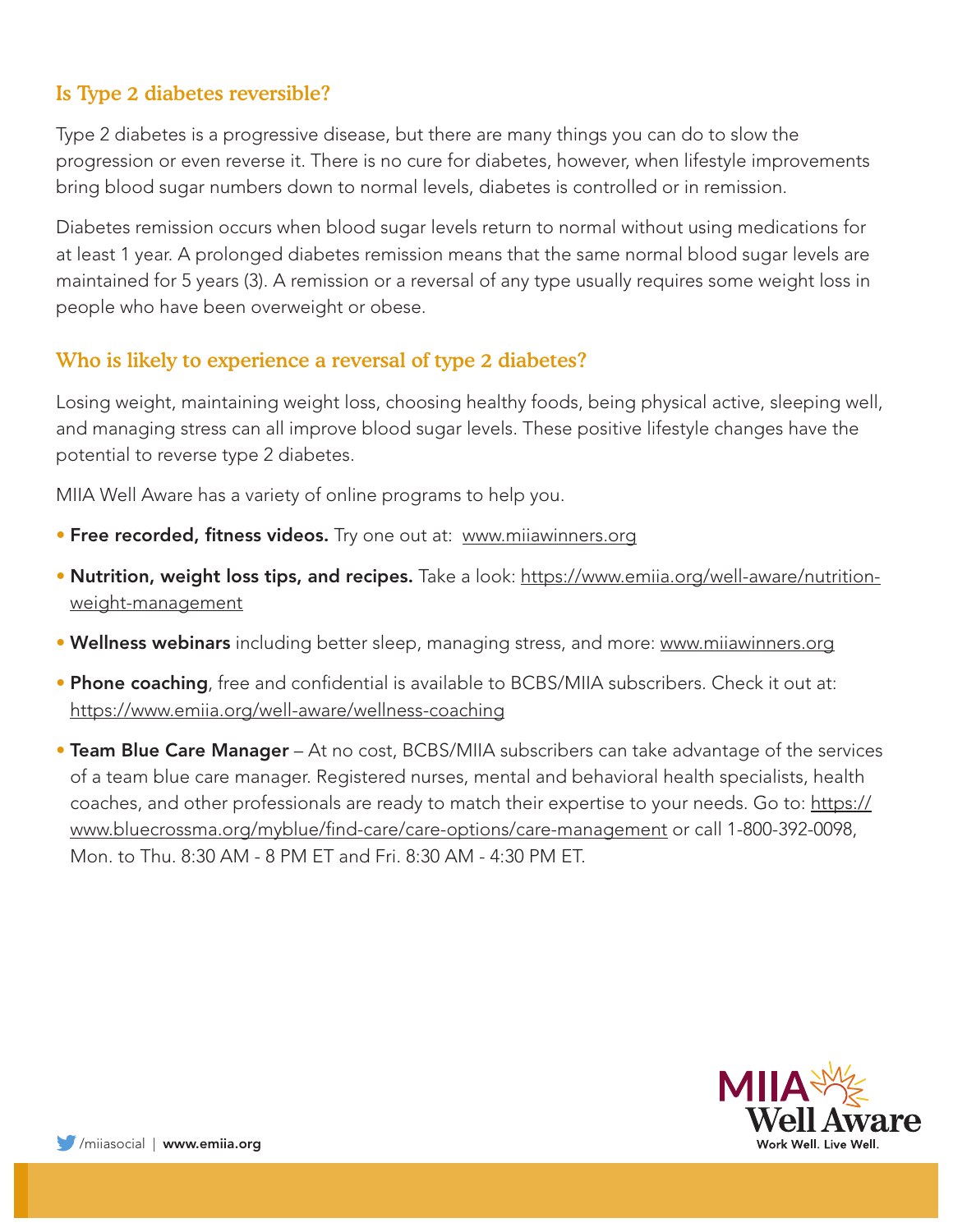## Is Type 2 diabetes reversible?

Type 2 diabetes is a progressive disease, but there are many things you can do to slow the progression or even reverse it. There is no cure for diabetes, however, when lifestyle improvements bring blood sugar numbers down to normal levels, diabetes is controlled or in remission.

Diabetes remission occurs when blood sugar levels return to normal without using medications for at least 1 year. A prolonged diabetes remission means that the same normal blood sugar levels are maintained for 5 years (3). A remission or a reversal of any type usually requires some weight loss in people who have been overweight or obese.

### Who is likely to experience a reversal of type 2 diabetes?

Losing weight, maintaining weight loss, choosing healthy foods, being physical active, sleeping well, and managing stress can all improve blood sugar levels. These positive lifestyle changes have the potential to reverse type 2 diabetes.

MIIA Well Aware has a variety of online programs to help you.

- Free recorded, fitness videos. Try one out at: [www.miiawinners.org](https://www.miiawinners.org/)
- Nutrition, weight loss tips, and recipes. Take a look: https://www.emiia.org/well-aware/nutritionweight-management
- Wellness webinars including better sleep, managing stress, and more: [www.miiawinners.org](http://www.miiawinners.org)
- Phone coaching, free and confidential is available to BCBS/MIIA subscribers. Check it out at: https://www.emiia.org/well-aware/wellness-coaching
- Team Blue Care Manager At no cost, BCBS/MIIA subscribers can take advantage of the services of a team blue care manager. Registered nurses, mental and behavioral health specialists, health coaches, and other professionals are ready to match their expertise to your needs. Go to: https:// www.bluecrossma.org/myblue/find-care/care-options/care-management or call 1-800-392-0098, Mon. to Thu. 8:30 AM - 8 PM ET and Fri. 8:30 AM - 4:30 PM ET.